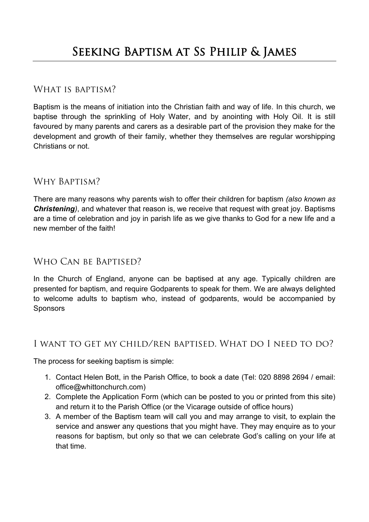#### WHAT IS BAPTISM?

Baptism is the means of initiation into the Christian faith and way of life. In this church, we baptise through the sprinkling of Holy Water, and by anointing with Holy Oil. It is still favoured by many parents and carers as a desirable part of the provision they make for the development and growth of their family, whether they themselves are regular worshipping Christians or not.

## Why Baptism?

There are many reasons why parents wish to offer their children for baptism *(also known as Christening)*, and whatever that reason is, we receive that request with great joy. Baptisms are a time of celebration and joy in parish life as we give thanks to God for a new life and a new member of the faith!

## WHO CAN BE BAPTISED?

In the Church of England, anyone can be baptised at any age. Typically children are presented for baptism, and require Godparents to speak for them. We are always delighted to welcome adults to baptism who, instead of godparents, would be accompanied by Sponsors

#### I want to get my child/ren baptised. What do I need to do?

The process for seeking baptism is simple:

- 1. Contact Helen Bott, in the Parish Office, to book a date (Tel: 020 8898 2694 / email: office@whittonchurch.com)
- 2. Complete the Application Form (which can be posted to you or printed from this site) and return it to the Parish Office (or the Vicarage outside of office hours)
- 3. A member of the Baptism team will call you and may arrange to visit, to explain the service and answer any questions that you might have. They may enquire as to your reasons for baptism, but only so that we can celebrate God's calling on your life at that time.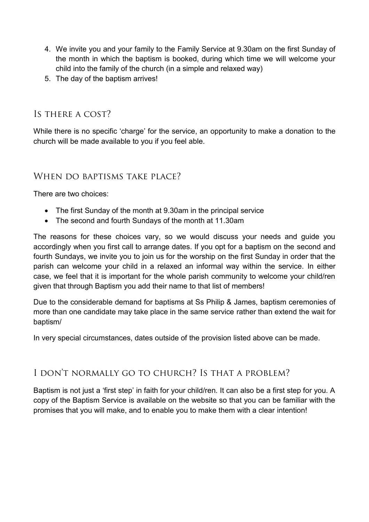- 4. We invite you and your family to the Family Service at 9.30am on the first Sunday of the month in which the baptism is booked, during which time we will welcome your child into the family of the church (in a simple and relaxed way)
- 5. The day of the baptism arrives!

# Is there a cost?

While there is no specific 'charge' for the service, an opportunity to make a donation to the church will be made available to you if you feel able.

#### WHEN DO BAPTISMS TAKE PLACE?

There are two choices:

- The first Sunday of the month at 9.30am in the principal service
- The second and fourth Sundays of the month at 11.30am

The reasons for these choices vary, so we would discuss your needs and guide you accordingly when you first call to arrange dates. If you opt for a baptism on the second and fourth Sundays, we invite you to join us for the worship on the first Sunday in order that the parish can welcome your child in a relaxed an informal way within the service. In either case, we feel that it is important for the whole parish community to welcome your child/ren given that through Baptism you add their name to that list of members!

Due to the considerable demand for baptisms at Ss Philip & James, baptism ceremonies of more than one candidate may take place in the same service rather than extend the wait for baptism/

In very special circumstances, dates outside of the provision listed above can be made.

## I don't normally go to church? Is that a problem?

Baptism is not just a 'first step' in faith for your child/ren. It can also be a first step for you. A copy of the Baptism Service is available on the website so that you can be familiar with the promises that you will make, and to enable you to make them with a clear intention!